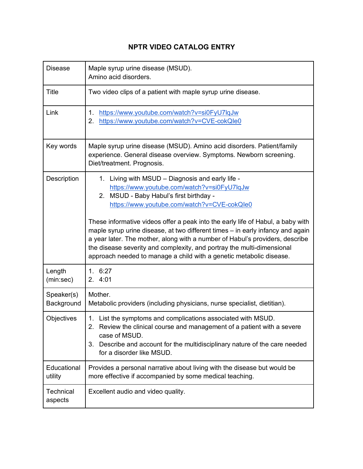## **NPTR VIDEO CATALOG ENTRY**

| <b>Disease</b>           | Maple syrup urine disease (MSUD).<br>Amino acid disorders.                                                                                                                                                                                                                                                                                                                                                                                                                                                                                                                                         |
|--------------------------|----------------------------------------------------------------------------------------------------------------------------------------------------------------------------------------------------------------------------------------------------------------------------------------------------------------------------------------------------------------------------------------------------------------------------------------------------------------------------------------------------------------------------------------------------------------------------------------------------|
| <b>Title</b>             | Two video clips of a patient with maple syrup urine disease.                                                                                                                                                                                                                                                                                                                                                                                                                                                                                                                                       |
| Link                     | https://www.youtube.com/watch?v=si0FyU7lqJw<br>1.<br>2.<br>https://www.youtube.com/watch?v=CVE-cokQle0                                                                                                                                                                                                                                                                                                                                                                                                                                                                                             |
| Key words                | Maple syrup urine disease (MSUD). Amino acid disorders. Patient/family<br>experience. General disease overview. Symptoms. Newborn screening.<br>Diet/treatment. Prognosis.                                                                                                                                                                                                                                                                                                                                                                                                                         |
| Description              | Living with MSUD – Diagnosis and early life -<br>1.<br>https://www.youtube.com/watch?v=si0FyU7lqJw<br>2. MSUD - Baby Habul's first birthday -<br>https://www.youtube.com/watch?v=CVE-cokQle0<br>These informative videos offer a peak into the early life of Habul, a baby with<br>maple syrup urine disease, at two different times - in early infancy and again<br>a year later. The mother, along with a number of Habul's providers, describe<br>the disease severity and complexity, and portray the multi-dimensional<br>approach needed to manage a child with a genetic metabolic disease. |
| Length<br>(min:sec)      | 1.6:27<br>2.4:01                                                                                                                                                                                                                                                                                                                                                                                                                                                                                                                                                                                   |
| Speaker(s)<br>Background | Mother.<br>Metabolic providers (including physicians, nurse specialist, dietitian).                                                                                                                                                                                                                                                                                                                                                                                                                                                                                                                |
| Objectives               | 1. List the symptoms and complications associated with MSUD.<br>2.<br>Review the clinical course and management of a patient with a severe<br>case of MSUD.<br>3. Describe and account for the multidisciplinary nature of the care needed<br>for a disorder like MSUD.                                                                                                                                                                                                                                                                                                                            |
| Educational<br>utility   | Provides a personal narrative about living with the disease but would be<br>more effective if accompanied by some medical teaching.                                                                                                                                                                                                                                                                                                                                                                                                                                                                |
| Technical<br>aspects     | Excellent audio and video quality.                                                                                                                                                                                                                                                                                                                                                                                                                                                                                                                                                                 |